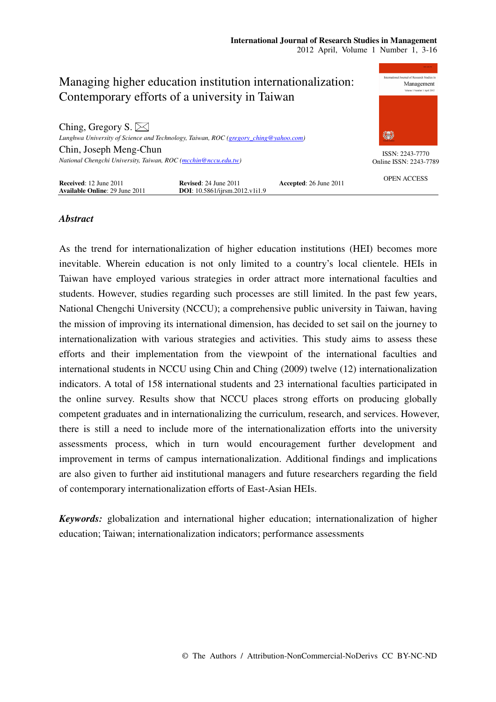

# *Abstract*

As the trend for internationalization of higher education institutions (HEI) becomes more inevitable. Wherein education is not only limited to a country's local clientele. HEIs in Taiwan have employed various strategies in order attract more international faculties and students. However, studies regarding such processes are still limited. In the past few years, National Chengchi University (NCCU); a comprehensive public university in Taiwan, having the mission of improving its international dimension, has decided to set sail on the journey to internationalization with various strategies and activities. This study aims to assess these efforts and their implementation from the viewpoint of the international faculties and international students in NCCU using Chin and Ching (2009) twelve (12) internationalization indicators. A total of 158 international students and 23 international faculties participated in the online survey. Results show that NCCU places strong efforts on producing globally competent graduates and in internationalizing the curriculum, research, and services. However, there is still a need to include more of the internationalization efforts into the university assessments process, which in turn would encouragement further development and improvement in terms of campus internationalization. Additional findings and implications are also given to further aid institutional managers and future researchers regarding the field of contemporary internationalization efforts of East-Asian HEIs.

*Keywords:* globalization and international higher education; internationalization of higher education; Taiwan; internationalization indicators; performance assessments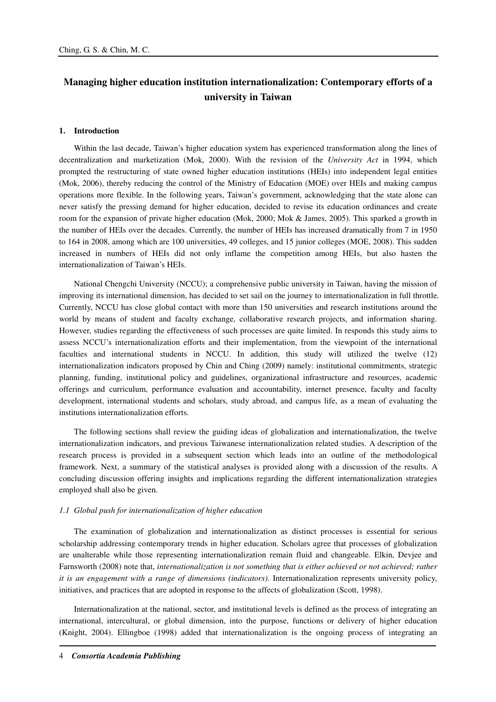# **Managing higher education institution internationalization: Contemporary efforts of a university in Taiwan**

### **1. Introduction**

Within the last decade, Taiwan's higher education system has experienced transformation along the lines of decentralization and marketization (Mok, 2000). With the revision of the *University Act* in 1994, which prompted the restructuring of state owned higher education institutions (HEIs) into independent legal entities (Mok, 2006), thereby reducing the control of the Ministry of Education (MOE) over HEIs and making campus operations more flexible. In the following years, Taiwan's government, acknowledging that the state alone can never satisfy the pressing demand for higher education, decided to revise its education ordinances and create room for the expansion of private higher education (Mok, 2000; Mok & James, 2005). This sparked a growth in the number of HEIs over the decades. Currently, the number of HEIs has increased dramatically from 7 in 1950 to 164 in 2008, among which are 100 universities, 49 colleges, and 15 junior colleges (MOE, 2008). This sudden increased in numbers of HEIs did not only inflame the competition among HEIs, but also hasten the internationalization of Taiwan's HEIs.

National Chengchi University (NCCU); a comprehensive public university in Taiwan, having the mission of improving its international dimension, has decided to set sail on the journey to internationalization in full throttle. Currently, NCCU has close global contact with more than 150 universities and research institutions around the world by means of student and faculty exchange, collaborative research projects, and information sharing. However, studies regarding the effectiveness of such processes are quite limited. In responds this study aims to assess NCCU's internationalization efforts and their implementation, from the viewpoint of the international faculties and international students in NCCU. In addition, this study will utilized the twelve (12) internationalization indicators proposed by Chin and Ching (2009) namely: institutional commitments, strategic planning, funding, institutional policy and guidelines, organizational infrastructure and resources, academic offerings and curriculum, performance evaluation and accountability, internet presence, faculty and faculty development, international students and scholars, study abroad, and campus life, as a mean of evaluating the institutions internationalization efforts.

The following sections shall review the guiding ideas of globalization and internationalization, the twelve internationalization indicators, and previous Taiwanese internationalization related studies. A description of the research process is provided in a subsequent section which leads into an outline of the methodological framework. Next, a summary of the statistical analyses is provided along with a discussion of the results. A concluding discussion offering insights and implications regarding the different internationalization strategies employed shall also be given.

## *1.1 Global push for internationalization of higher education*

The examination of globalization and internationalization as distinct processes is essential for serious scholarship addressing contemporary trends in higher education. Scholars agree that processes of globalization are unalterable while those representing internationalization remain fluid and changeable. Elkin, Devjee and Farnsworth (2008) note that, *internationalization is not something that is either achieved or not achieved; rather it is an engagement with a range of dimensions (indicators)*. Internationalization represents university policy, initiatives, and practices that are adopted in response to the affects of globalization (Scott, 1998).

Internationalization at the national, sector, and institutional levels is defined as the process of integrating an international, intercultural, or global dimension, into the purpose, functions or delivery of higher education (Knight, 2004). Ellingboe (1998) added that internationalization is the ongoing process of integrating an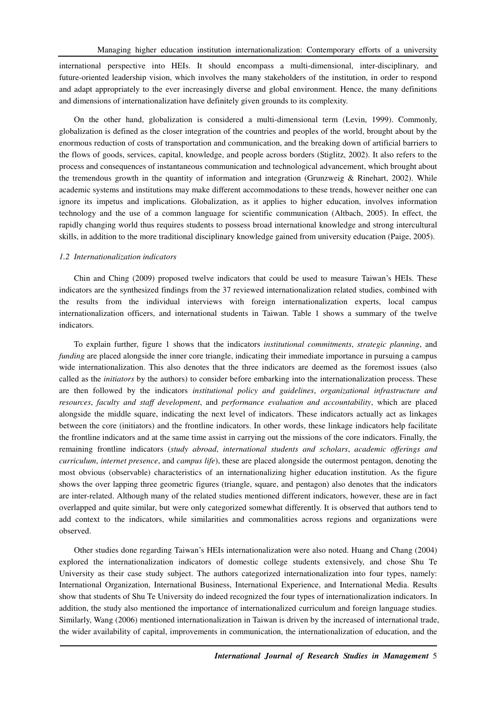international perspective into HEIs. It should encompass a multi-dimensional, inter-disciplinary, and future-oriented leadership vision, which involves the many stakeholders of the institution, in order to respond and adapt appropriately to the ever increasingly diverse and global environment. Hence, the many definitions and dimensions of internationalization have definitely given grounds to its complexity.

On the other hand, globalization is considered a multi-dimensional term (Levin, 1999). Commonly, globalization is defined as the closer integration of the countries and peoples of the world, brought about by the enormous reduction of costs of transportation and communication, and the breaking down of artificial barriers to the flows of goods, services, capital, knowledge, and people across borders (Stiglitz, 2002). It also refers to the process and consequences of instantaneous communication and technological advancement, which brought about the tremendous growth in the quantity of information and integration (Grunzweig & Rinehart, 2002). While academic systems and institutions may make different accommodations to these trends, however neither one can ignore its impetus and implications. Globalization, as it applies to higher education, involves information technology and the use of a common language for scientific communication (Altbach, 2005). In effect, the rapidly changing world thus requires students to possess broad international knowledge and strong intercultural skills, in addition to the more traditional disciplinary knowledge gained from university education (Paige, 2005).

#### *1.2 Internationalization indicators*

Chin and Ching (2009) proposed twelve indicators that could be used to measure Taiwan's HEIs. These indicators are the synthesized findings from the 37 reviewed internationalization related studies, combined with the results from the individual interviews with foreign internationalization experts, local campus internationalization officers, and international students in Taiwan. Table 1 shows a summary of the twelve indicators.

To explain further, figure 1 shows that the indicators *institutional commitments*, *strategic planning*, and *funding* are placed alongside the inner core triangle, indicating their immediate importance in pursuing a campus wide internationalization. This also denotes that the three indicators are deemed as the foremost issues (also called as the *initiators* by the authors) to consider before embarking into the internationalization process. These are then followed by the indicators *institutional policy and guidelines*, *organizational infrastructure and resources*, *faculty and staff development*, and *performance evaluation and accountability*, which are placed alongside the middle square, indicating the next level of indicators. These indicators actually act as linkages between the core (initiators) and the frontline indicators. In other words, these linkage indicators help facilitate the frontline indicators and at the same time assist in carrying out the missions of the core indicators. Finally, the remaining frontline indicators (*study abroad*, *international students and scholars*, *academic offerings and curriculum*, *internet presence*, and *campus life*), these are placed alongside the outermost pentagon, denoting the most obvious (observable) characteristics of an internationalizing higher education institution. As the figure shows the over lapping three geometric figures (triangle, square, and pentagon) also denotes that the indicators are inter-related. Although many of the related studies mentioned different indicators, however, these are in fact overlapped and quite similar, but were only categorized somewhat differently. It is observed that authors tend to add context to the indicators, while similarities and commonalities across regions and organizations were observed.

Other studies done regarding Taiwan's HEIs internationalization were also noted. Huang and Chang (2004) explored the internationalization indicators of domestic college students extensively, and chose Shu Te University as their case study subject. The authors categorized internationalization into four types, namely: International Organization, International Business, International Experience, and International Media. Results show that students of Shu Te University do indeed recognized the four types of internationalization indicators. In addition, the study also mentioned the importance of internationalized curriculum and foreign language studies. Similarly, Wang (2006) mentioned internationalization in Taiwan is driven by the increased of international trade, the wider availability of capital, improvements in communication, the internationalization of education, and the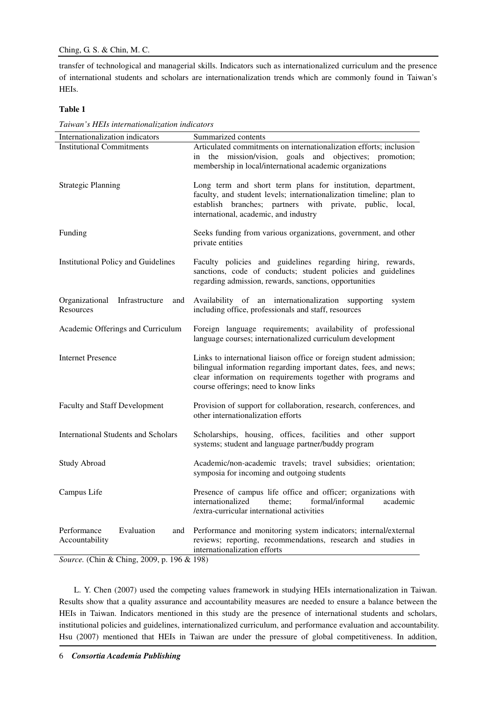transfer of technological and managerial skills. Indicators such as internationalized curriculum and the presence of international students and scholars are internationalization trends which are commonly found in Taiwan's HEIs.

# **Table 1**

| Internationalization indicators                      | Summarized contents                                                                                                                                                                                                                             |  |  |  |  |
|------------------------------------------------------|-------------------------------------------------------------------------------------------------------------------------------------------------------------------------------------------------------------------------------------------------|--|--|--|--|
| <b>Institutional Commitments</b>                     | Articulated commitments on internationalization efforts; inclusion<br>in the mission/vision, goals and objectives; promotion;<br>membership in local/international academic organizations                                                       |  |  |  |  |
| <b>Strategic Planning</b>                            | Long term and short term plans for institution, department,<br>faculty, and student levels; internationalization timeline; plan to<br>establish branches; partners with private, public, local,<br>international, academic, and industry        |  |  |  |  |
| Funding                                              | Seeks funding from various organizations, government, and other<br>private entities                                                                                                                                                             |  |  |  |  |
| <b>Institutional Policy and Guidelines</b>           | Faculty policies and guidelines regarding hiring, rewards,<br>sanctions, code of conducts; student policies and guidelines<br>regarding admission, rewards, sanctions, opportunities                                                            |  |  |  |  |
| Organizational<br>Infrastructure<br>and<br>Resources | Availability of an internationalization supporting<br>system<br>including office, professionals and staff, resources                                                                                                                            |  |  |  |  |
| Academic Offerings and Curriculum                    | Foreign language requirements; availability of professional<br>language courses; internationalized curriculum development                                                                                                                       |  |  |  |  |
| <b>Internet Presence</b>                             | Links to international liaison office or foreign student admission;<br>bilingual information regarding important dates, fees, and news;<br>clear information on requirements together with programs and<br>course offerings; need to know links |  |  |  |  |
| <b>Faculty and Staff Development</b>                 | Provision of support for collaboration, research, conferences, and<br>other internationalization efforts                                                                                                                                        |  |  |  |  |
| <b>International Students and Scholars</b>           | Scholarships, housing, offices, facilities and other support<br>systems; student and language partner/buddy program                                                                                                                             |  |  |  |  |
| <b>Study Abroad</b>                                  | Academic/non-academic travels; travel subsidies; orientation;<br>symposia for incoming and outgoing students                                                                                                                                    |  |  |  |  |
| Campus Life                                          | Presence of campus life office and officer; organizations with<br>internationalized<br>theme:<br>formal/informal<br>academic<br>/extra-curricular international activities                                                                      |  |  |  |  |
| Evaluation<br>Performance<br>and<br>Accountability   | Performance and monitoring system indicators; internal/external<br>reviews; reporting, recommendations, research and studies in<br>internationalization efforts                                                                                 |  |  |  |  |

*Taiwan's HEIs internationalization indicators* 

*Source.* (Chin & Ching, 2009, p. 196 & 198)

L. Y. Chen (2007) used the competing values framework in studying HEIs internationalization in Taiwan. Results show that a quality assurance and accountability measures are needed to ensure a balance between the HEIs in Taiwan. Indicators mentioned in this study are the presence of international students and scholars, institutional policies and guidelines, internationalized curriculum, and performance evaluation and accountability. Hsu (2007) mentioned that HEIs in Taiwan are under the pressure of global competitiveness. In addition,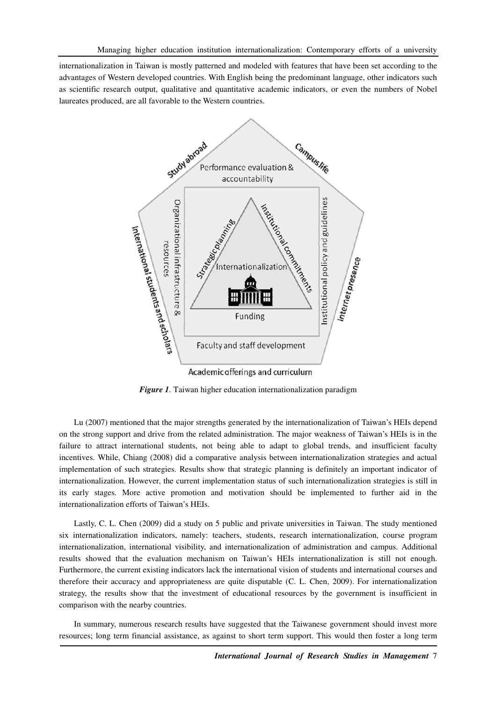internationalization in Taiwan is mostly patterned and modeled with features that have been set according to the advantages of Western developed countries. With English being the predominant language, other indicators such as scientific research output, qualitative and quantitative academic indicators, or even the numbers of Nobel laureates produced, are all favorable to the Western countries.



*Figure 1*. Taiwan higher education internationalization paradigm

Lu (2007) mentioned that the major strengths generated by the internationalization of Taiwan's HEIs depend on the strong support and drive from the related administration. The major weakness of Taiwan's HEIs is in the failure to attract international students, not being able to adapt to global trends, and insufficient faculty incentives. While, Chiang (2008) did a comparative analysis between internationalization strategies and actual implementation of such strategies. Results show that strategic planning is definitely an important indicator of internationalization. However, the current implementation status of such internationalization strategies is still in its early stages. More active promotion and motivation should be implemented to further aid in the internationalization efforts of Taiwan's HEIs.

Lastly, C. L. Chen (2009) did a study on 5 public and private universities in Taiwan. The study mentioned six internationalization indicators, namely: teachers, students, research internationalization, course program internationalization, international visibility, and internationalization of administration and campus. Additional results showed that the evaluation mechanism on Taiwan's HEIs internationalization is still not enough. Furthermore, the current existing indicators lack the international vision of students and international courses and therefore their accuracy and appropriateness are quite disputable (C. L. Chen, 2009). For internationalization strategy, the results show that the investment of educational resources by the government is insufficient in comparison with the nearby countries.

In summary, numerous research results have suggested that the Taiwanese government should invest more resources; long term financial assistance, as against to short term support. This would then foster a long term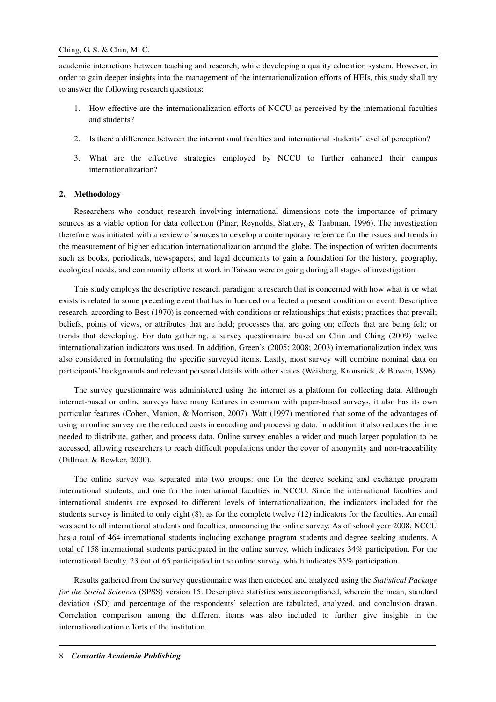academic interactions between teaching and research, while developing a quality education system. However, in order to gain deeper insights into the management of the internationalization efforts of HEIs, this study shall try to answer the following research questions:

- 1. How effective are the internationalization efforts of NCCU as perceived by the international faculties and students?
- 2. Is there a difference between the international faculties and international students' level of perception?
- 3. What are the effective strategies employed by NCCU to further enhanced their campus internationalization?

## **2. Methodology**

Researchers who conduct research involving international dimensions note the importance of primary sources as a viable option for data collection (Pinar, Reynolds, Slattery, & Taubman, 1996). The investigation therefore was initiated with a review of sources to develop a contemporary reference for the issues and trends in the measurement of higher education internationalization around the globe. The inspection of written documents such as books, periodicals, newspapers, and legal documents to gain a foundation for the history, geography, ecological needs, and community efforts at work in Taiwan were ongoing during all stages of investigation.

This study employs the descriptive research paradigm; a research that is concerned with how what is or what exists is related to some preceding event that has influenced or affected a present condition or event. Descriptive research, according to Best (1970) is concerned with conditions or relationships that exists; practices that prevail; beliefs, points of views, or attributes that are held; processes that are going on; effects that are being felt; or trends that developing. For data gathering, a survey questionnaire based on Chin and Ching (2009) twelve internationalization indicators was used. In addition, Green's (2005; 2008; 2003) internationalization index was also considered in formulating the specific surveyed items. Lastly, most survey will combine nominal data on participants' backgrounds and relevant personal details with other scales (Weisberg, Kronsnick, & Bowen, 1996).

The survey questionnaire was administered using the internet as a platform for collecting data. Although internet-based or online surveys have many features in common with paper-based surveys, it also has its own particular features (Cohen, Manion, & Morrison, 2007). Watt (1997) mentioned that some of the advantages of using an online survey are the reduced costs in encoding and processing data. In addition, it also reduces the time needed to distribute, gather, and process data. Online survey enables a wider and much larger population to be accessed, allowing researchers to reach difficult populations under the cover of anonymity and non-traceability (Dillman & Bowker, 2000).

The online survey was separated into two groups: one for the degree seeking and exchange program international students, and one for the international faculties in NCCU. Since the international faculties and international students are exposed to different levels of internationalization, the indicators included for the students survey is limited to only eight (8), as for the complete twelve (12) indicators for the faculties. An email was sent to all international students and faculties, announcing the online survey. As of school year 2008, NCCU has a total of 464 international students including exchange program students and degree seeking students. A total of 158 international students participated in the online survey, which indicates 34% participation. For the international faculty, 23 out of 65 participated in the online survey, which indicates 35% participation.

Results gathered from the survey questionnaire was then encoded and analyzed using the *Statistical Package for the Social Sciences* (SPSS) version 15. Descriptive statistics was accomplished, wherein the mean, standard deviation (SD) and percentage of the respondents' selection are tabulated, analyzed, and conclusion drawn. Correlation comparison among the different items was also included to further give insights in the internationalization efforts of the institution.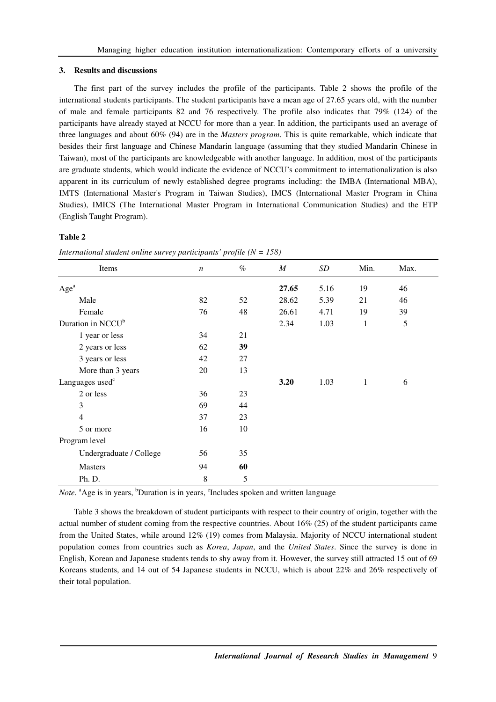#### **3. Results and discussions**

The first part of the survey includes the profile of the participants. Table 2 shows the profile of the international students participants. The student participants have a mean age of 27.65 years old, with the number of male and female participants 82 and 76 respectively. The profile also indicates that 79% (124) of the participants have already stayed at NCCU for more than a year. In addition, the participants used an average of three languages and about 60% (94) are in the *Masters program*. This is quite remarkable, which indicate that besides their first language and Chinese Mandarin language (assuming that they studied Mandarin Chinese in Taiwan), most of the participants are knowledgeable with another language. In addition, most of the participants are graduate students, which would indicate the evidence of NCCU's commitment to internationalization is also apparent in its curriculum of newly established degree programs including: the IMBA (International MBA), IMTS (International Master's Program in Taiwan Studies), IMCS (International Master Program in China Studies), IMICS (The International Master Program in International Communication Studies) and the ETP (English Taught Program).

## **Table 2**

| Items                         | $\boldsymbol{n}$ | $\%$ | $\boldsymbol{M}$ | SD   | Min. | Max. |
|-------------------------------|------------------|------|------------------|------|------|------|
| Age <sup>a</sup>              |                  |      | 27.65            | 5.16 | 19   | 46   |
| Male                          | 82               | 52   | 28.62            | 5.39 | 21   | 46   |
| Female                        | 76               | 48   | 26.61            | 4.71 | 19   | 39   |
| Duration in NCCU <sup>b</sup> |                  |      | 2.34             | 1.03 | 1    | 5    |
| 1 year or less                | 34               | 21   |                  |      |      |      |
| 2 years or less               | 62               | 39   |                  |      |      |      |
| 3 years or less               | 42               | 27   |                  |      |      |      |
| More than 3 years             | 20               | 13   |                  |      |      |      |
| Languages used <sup>c</sup>   |                  |      | 3.20             | 1.03 | 1    | 6    |
| 2 or less                     | 36               | 23   |                  |      |      |      |
| 3                             | 69               | 44   |                  |      |      |      |
| $\overline{4}$                | 37               | 23   |                  |      |      |      |
| 5 or more                     | 16               | 10   |                  |      |      |      |
| Program level                 |                  |      |                  |      |      |      |
| Undergraduate / College       | 56               | 35   |                  |      |      |      |
| <b>Masters</b>                | 94               | 60   |                  |      |      |      |
| Ph. D.                        | $\,8\,$          | 5    |                  |      |      |      |

*International student online survey participants' profile (N = 158)* 

Note. <sup>a</sup>Age is in years, <sup>b</sup>Duration is in years, <sup>c</sup>Includes spoken and written language

Table 3 shows the breakdown of student participants with respect to their country of origin, together with the actual number of student coming from the respective countries. About 16% (25) of the student participants came from the United States, while around 12% (19) comes from Malaysia. Majority of NCCU international student population comes from countries such as *Korea*, *Japan*, and the *United States*. Since the survey is done in English, Korean and Japanese students tends to shy away from it. However, the survey still attracted 15 out of 69 Koreans students, and 14 out of 54 Japanese students in NCCU, which is about 22% and 26% respectively of their total population.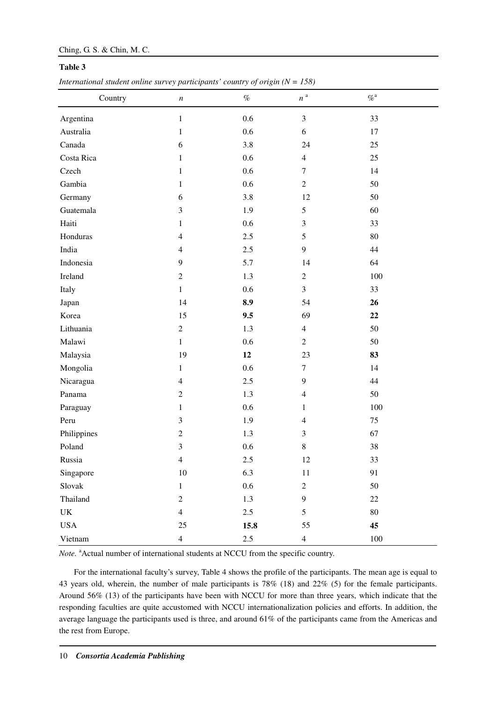# Ching, G. S. & Chin, M. C.

# **Table 3**

*International student online survey participants' country of origin*  $(N = 158)$ 

| Country     | $\boldsymbol{n}$        | $\%$    | $\boldsymbol{n}$ a | $\% ^{\mathrm{a}}$ |
|-------------|-------------------------|---------|--------------------|--------------------|
| Argentina   | $\mathbf{1}$            | $0.6\,$ | $\mathfrak{Z}$     | 33                 |
| Australia   | $\mathbf{1}$            | $0.6\,$ | $6\,$              | 17                 |
| Canada      | 6                       | 3.8     | 24                 | 25                 |
| Costa Rica  | $\mathbf{1}$            | 0.6     | $\overline{4}$     | 25                 |
| Czech       | 1                       | $0.6\,$ | $\tau$             | 14                 |
| Gambia      | 1                       | 0.6     | $\overline{c}$     | 50                 |
| Germany     | 6                       | 3.8     | 12                 | 50                 |
| Guatemala   | $\mathfrak{Z}$          | 1.9     | 5                  | 60                 |
| Haiti       | $\mathbf{1}$            | 0.6     | $\mathfrak{Z}$     | 33                 |
| Honduras    | $\overline{4}$          | 2.5     | 5                  | 80                 |
| India       | $\overline{4}$          | 2.5     | $\mathbf{9}$       | 44                 |
| Indonesia   | 9                       | 5.7     | 14                 | 64                 |
| Ireland     | $\overline{c}$          | 1.3     | $\overline{c}$     | $100\,$            |
| Italy       | $\mathbf{1}$            | 0.6     | 3                  | 33                 |
| Japan       | 14                      | 8.9     | 54                 | 26                 |
| Korea       | 15                      | 9.5     | 69                 | 22                 |
| Lithuania   | $\overline{c}$          | 1.3     | $\overline{4}$     | 50                 |
| Malawi      | $\mathbf{1}$            | $0.6\,$ | $\overline{c}$     | 50                 |
| Malaysia    | 19                      | 12      | 23                 | 83                 |
| Mongolia    | $\mathbf{1}$            | 0.6     | $\tau$             | 14                 |
| Nicaragua   | $\overline{4}$          | $2.5\,$ | $\boldsymbol{9}$   | 44                 |
| Panama      | $\boldsymbol{2}$        | 1.3     | $\overline{4}$     | 50                 |
| Paraguay    | $\mathbf{1}$            | $0.6\,$ | $\mathbf{1}$       | 100                |
| Peru        | $\mathfrak{Z}$          | 1.9     | $\overline{4}$     | 75                 |
| Philippines | $\mathfrak{2}$          | 1.3     | 3                  | 67                 |
| Poland      | $\overline{\mathbf{3}}$ | 0.6     | 8                  | 38                 |
| Russia      | 4                       | $2.5\,$ | 12                 | 33                 |
| Singapore   | $10\,$                  | 6.3     | $11\,$             | 91                 |
| Slovak      | $\mathbf{1}$            | $0.6\,$ | $\overline{c}$     | 50                 |
| Thailand    | $\boldsymbol{2}$        | 1.3     | $\mathbf{9}$       | $22\,$             |
| UK          | $\overline{4}$          | 2.5     | 5                  | $80\,$             |
| <b>USA</b>  | $25\,$                  | 15.8    | 55                 | 45                 |
| Vietnam     | $\overline{4}$          | 2.5     | $\overline{4}$     | $100\,$            |

*Note.* <sup>a</sup>Actual number of international students at NCCU from the specific country.

For the international faculty's survey, Table 4 shows the profile of the participants. The mean age is equal to 43 years old, wherein, the number of male participants is 78% (18) and 22% (5) for the female participants. Around 56% (13) of the participants have been with NCCU for more than three years, which indicate that the responding faculties are quite accustomed with NCCU internationalization policies and efforts. In addition, the average language the participants used is three, and around 61% of the participants came from the Americas and the rest from Europe.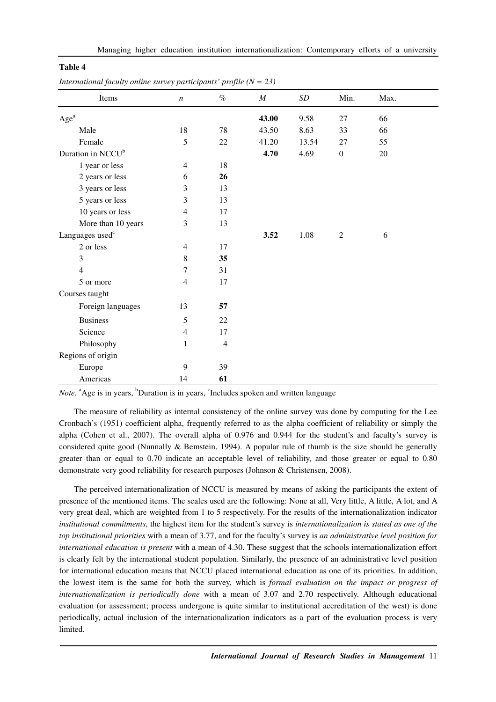| `able |  |
|-------|--|
|-------|--|

| Items                         | $\boldsymbol{n}$ | $\%$           | $\cal M$ | SD    | Min.             | Max. |  |
|-------------------------------|------------------|----------------|----------|-------|------------------|------|--|
| Age <sup>a</sup>              |                  |                | 43.00    | 9.58  | 27               | 66   |  |
| Male                          | 18               | 78             | 43.50    | 8.63  | 33               | 66   |  |
| Female                        | 5                | 22             | 41.20    | 13.54 | 27               | 55   |  |
| Duration in NCCU <sup>b</sup> |                  |                | 4.70     | 4.69  | $\boldsymbol{0}$ | 20   |  |
| 1 year or less                | $\overline{4}$   | 18             |          |       |                  |      |  |
| 2 years or less               | 6                | 26             |          |       |                  |      |  |
| 3 years or less               | 3                | 13             |          |       |                  |      |  |
| 5 years or less               | 3                | 13             |          |       |                  |      |  |
| 10 years or less              | $\overline{4}$   | 17             |          |       |                  |      |  |
| More than 10 years            | 3                | 13             |          |       |                  |      |  |
| Languages used <sup>c</sup>   |                  |                | 3.52     | 1.08  | $\overline{2}$   | 6    |  |
| 2 or less                     | $\overline{4}$   | 17             |          |       |                  |      |  |
| 3                             | $\,8\,$          | 35             |          |       |                  |      |  |
| $\overline{4}$                | $\tau$           | 31             |          |       |                  |      |  |
| 5 or more                     | $\overline{4}$   | 17             |          |       |                  |      |  |
| Courses taught                |                  |                |          |       |                  |      |  |
| Foreign languages             | 13               | 57             |          |       |                  |      |  |
| <b>Business</b>               | 5                | 22             |          |       |                  |      |  |
| Science                       | $\overline{4}$   | 17             |          |       |                  |      |  |
| Philosophy                    | $\mathbf{1}$     | $\overline{4}$ |          |       |                  |      |  |
| Regions of origin             |                  |                |          |       |                  |      |  |
| Europe                        | 9                | 39             |          |       |                  |      |  |
| Americas                      | 14               | 61             |          |       |                  |      |  |

*International faculty online survey participants' profile (N = 23)* 

Note. <sup>a</sup>Age is in years, <sup>b</sup>Duration is in years, <sup>c</sup>Includes spoken and written language

The measure of reliability as internal consistency of the online survey was done by computing for the Lee Cronbach's (1951) coefficient alpha, frequently referred to as the alpha coefficient of reliability or simply the alpha (Cohen et al., 2007). The overall alpha of 0.976 and 0.944 for the student's and faculty's survey is considered quite good (Nunnally & Bemstein, 1994). A popular rule of thumb is the size should be generally greater than or equal to 0.70 indicate an acceptable level of reliability, and those greater or equal to 0.80 demonstrate very good reliability for research purposes (Johnson & Christensen, 2008).

The perceived internationalization of NCCU is measured by means of asking the participants the extent of presence of the mentioned items. The scales used are the following: None at all, Very little, A little, A lot, and A very great deal, which are weighted from 1 to 5 respectively. For the results of the internationalization indicator *institutional commitments*, the highest item for the student's survey is *internationalization is stated as one of the top institutional priorities* with a mean of 3.77, and for the faculty's survey is *an administrative level position for international education is present* with a mean of 4.30. These suggest that the schools internationalization effort is clearly felt by the international student population. Similarly, the presence of an administrative level position for international education means that NCCU placed international education as one of its priorities. In addition, the lowest item is the same for both the survey, which is *formal evaluation on the impact or progress of internationalization is periodically done* with a mean of 3.07 and 2.70 respectively. Although educational evaluation (or assessment; process undergone is quite similar to institutional accreditation of the west) is done periodically, actual inclusion of the internationalization indicators as a part of the evaluation process is very limited.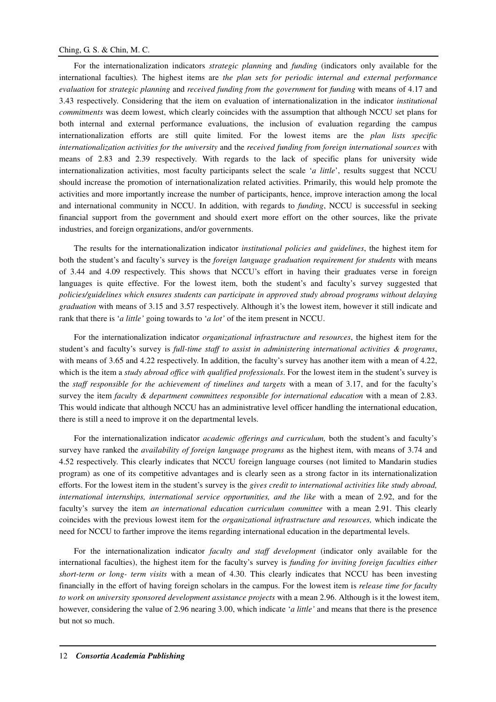# Ching, G. S. & Chin, M. C.

For the internationalization indicators *strategic planning* and *funding* (indicators only available for the international faculties)*.* The highest items are *the plan sets for periodic internal and external performance evaluation* for *strategic planning* and *received funding from the government* for *funding* with means of 4.17 and 3.43 respectively. Considering that the item on evaluation of internationalization in the indicator *institutional commitments* was deem lowest, which clearly coincides with the assumption that although NCCU set plans for both internal and external performance evaluations, the inclusion of evaluation regarding the campus internationalization efforts are still quite limited. For the lowest items are the *plan lists specific internationalization activities for the university* and the *received funding from foreign international sources* with means of 2.83 and 2.39 respectively. With regards to the lack of specific plans for university wide internationalization activities, most faculty participants select the scale '*a little*', results suggest that NCCU should increase the promotion of internationalization related activities. Primarily, this would help promote the activities and more importantly increase the number of participants, hence, improve interaction among the local and international community in NCCU. In addition, with regards to *funding*, NCCU is successful in seeking financial support from the government and should exert more effort on the other sources, like the private industries, and foreign organizations, and/or governments.

The results for the internationalization indicator *institutional policies and guidelines*, the highest item for both the student's and faculty's survey is the *foreign language graduation requirement for students* with means of 3.44 and 4.09 respectively. This shows that NCCU's effort in having their graduates verse in foreign languages is quite effective. For the lowest item, both the student's and faculty's survey suggested that *policies/guidelines which ensures students can participate in approved study abroad programs without delaying graduation* with means of 3.15 and 3.57 respectively. Although it's the lowest item, however it still indicate and rank that there is '*a little'* going towards to '*a lot'* of the item present in NCCU.

For the internationalization indicator *organizational infrastructure and resources*, the highest item for the student's and faculty's survey is *full-time staff to assist in administering international activities & programs*, with means of 3.65 and 4.22 respectively. In addition, the faculty's survey has another item with a mean of 4.22, which is the item a *study abroad office with qualified professionals*. For the lowest item in the student's survey is the *staff responsible for the achievement of timelines and targets* with a mean of 3.17, and for the faculty's survey the item *faculty & department committees responsible for international education* with a mean of 2.83. This would indicate that although NCCU has an administrative level officer handling the international education, there is still a need to improve it on the departmental levels.

For the internationalization indicator *academic offerings and curriculum,* both the student's and faculty's survey have ranked the *availability of foreign language programs* as the highest item, with means of 3.74 and 4.52 respectively. This clearly indicates that NCCU foreign language courses (not limited to Mandarin studies program) as one of its competitive advantages and is clearly seen as a strong factor in its internationalization efforts. For the lowest item in the student's survey is the *gives credit to international activities like study abroad, international internships, international service opportunities, and the like* with a mean of 2.92, and for the faculty's survey the item *an international education curriculum committee* with a mean 2.91. This clearly coincides with the previous lowest item for the *organizational infrastructure and resources,* which indicate the need for NCCU to farther improve the items regarding international education in the departmental levels.

For the internationalization indicator *faculty and staff development* (indicator only available for the international faculties), the highest item for the faculty's survey is *funding for inviting foreign faculties either short-term or long- term visits* with a mean of 4.30. This clearly indicates that NCCU has been investing financially in the effort of having foreign scholars in the campus. For the lowest item is *release time for faculty to work on university sponsored development assistance projects* with a mean 2.96. Although is it the lowest item, however, considering the value of 2.96 nearing 3.00, which indicate '*a little'* and means that there is the presence but not so much.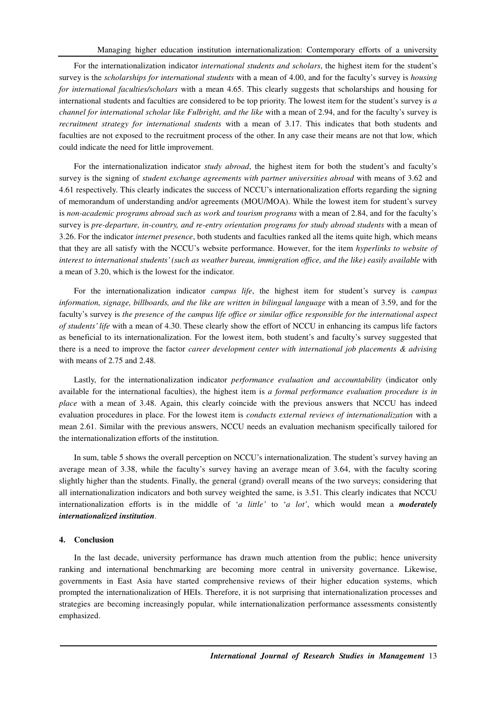For the internationalization indicator *international students and scholars*, the highest item for the student's survey is the *scholarships for international students* with a mean of 4.00, and for the faculty's survey is *housing for international faculties/scholars* with a mean 4.65. This clearly suggests that scholarships and housing for international students and faculties are considered to be top priority. The lowest item for the student's survey is *a channel for international scholar like Fulbright, and the like* with a mean of 2.94, and for the faculty's survey is *recruitment strategy for international students* with a mean of 3.17. This indicates that both students and faculties are not exposed to the recruitment process of the other. In any case their means are not that low, which could indicate the need for little improvement.

For the internationalization indicator *study abroad*, the highest item for both the student's and faculty's survey is the signing of *student exchange agreements with partner universities abroad* with means of 3.62 and 4.61 respectively. This clearly indicates the success of NCCU's internationalization efforts regarding the signing of memorandum of understanding and/or agreements (MOU/MOA). While the lowest item for student's survey is *non-academic programs abroad such as work and tourism programs* with a mean of 2.84, and for the faculty's survey is *pre-departure, in-country, and re-entry orientation programs for study abroad students* with a mean of 3.26. For the indicator *internet presence*, both students and faculties ranked all the items quite high, which means that they are all satisfy with the NCCU's website performance. However, for the item *hyperlinks to website of interest to international students' (such as weather bureau, immigration office, and the like) easily available with* a mean of 3.20, which is the lowest for the indicator.

For the internationalization indicator *campus life*, the highest item for student's survey is *campus information, signage, billboards, and the like are written in bilingual language* with a mean of 3.59, and for the faculty's survey is *the presence of the campus life office or similar office responsible for the international aspect of students' life* with a mean of 4.30. These clearly show the effort of NCCU in enhancing its campus life factors as beneficial to its internationalization. For the lowest item, both student's and faculty's survey suggested that there is a need to improve the factor *career development center with international job placements & advising* with means of 2.75 and 2.48.

Lastly, for the internationalization indicator *performance evaluation and accountability* (indicator only available for the international faculties), the highest item is *a formal performance evaluation procedure is in place* with a mean of 3.48. Again, this clearly coincide with the previous answers that NCCU has indeed evaluation procedures in place. For the lowest item is *conducts external reviews of internationalization* with a mean 2.61. Similar with the previous answers, NCCU needs an evaluation mechanism specifically tailored for the internationalization efforts of the institution.

In sum, table 5 shows the overall perception on NCCU's internationalization. The student's survey having an average mean of 3.38, while the faculty's survey having an average mean of 3.64, with the faculty scoring slightly higher than the students. Finally, the general (grand) overall means of the two surveys; considering that all internationalization indicators and both survey weighted the same, is 3.51. This clearly indicates that NCCU internationalization efforts is in the middle of '*a little'* to '*a lot'*, which would mean a *moderately internationalized institution*.

#### **4. Conclusion**

In the last decade, university performance has drawn much attention from the public; hence university ranking and international benchmarking are becoming more central in university governance. Likewise, governments in East Asia have started comprehensive reviews of their higher education systems, which prompted the internationalization of HEIs. Therefore, it is not surprising that internationalization processes and strategies are becoming increasingly popular, while internationalization performance assessments consistently emphasized.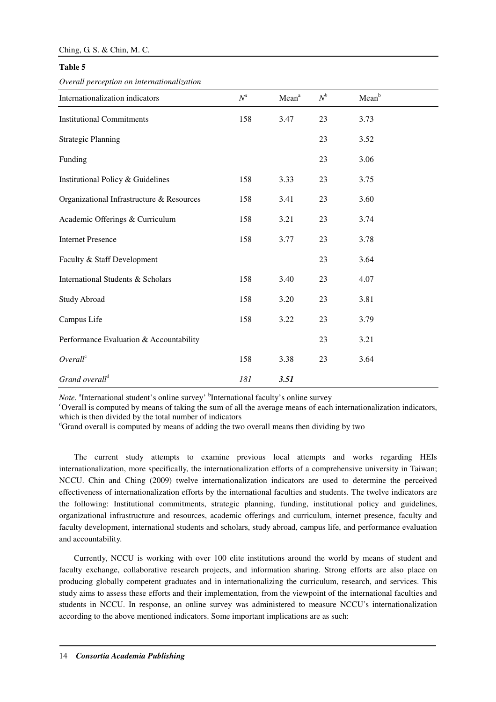## **Table 5**

*Overall perception on internationalization* 

| Internationalization indicators           | $N^a$ | Mean <sup>a</sup> | $N^b$ | Mean <sup>b</sup> |
|-------------------------------------------|-------|-------------------|-------|-------------------|
| <b>Institutional Commitments</b>          | 158   | 3.47              | 23    | 3.73              |
| <b>Strategic Planning</b>                 |       |                   | 23    | 3.52              |
| Funding                                   |       |                   | 23    | 3.06              |
| Institutional Policy & Guidelines         | 158   | 3.33              | 23    | 3.75              |
| Organizational Infrastructure & Resources | 158   | 3.41              | 23    | 3.60              |
| Academic Offerings & Curriculum           | 158   | 3.21              | 23    | 3.74              |
| <b>Internet Presence</b>                  | 158   | 3.77              | 23    | 3.78              |
| Faculty & Staff Development               |       |                   | 23    | 3.64              |
| International Students & Scholars         | 158   | 3.40              | 23    | 4.07              |
| <b>Study Abroad</b>                       | 158   | 3.20              | 23    | 3.81              |
| Campus Life                               | 158   | 3.22              | 23    | 3.79              |
| Performance Evaluation & Accountability   |       |                   | 23    | 3.21              |
| Overall <sup>c</sup>                      | 158   | 3.38              | 23    | 3.64              |
| Grand overall <sup>d</sup>                | 181   | 3.51              |       |                   |

Note. <sup>a</sup>International student's online survey' <sup>b</sup>International faculty's online survey

<sup>c</sup>Overall is computed by means of taking the sum of all the average means of each internationalization indicators, which is then divided by the total number of indicators

<sup>d</sup>Grand overall is computed by means of adding the two overall means then dividing by two

The current study attempts to examine previous local attempts and works regarding HEIs internationalization, more specifically, the internationalization efforts of a comprehensive university in Taiwan; NCCU. Chin and Ching (2009) twelve internationalization indicators are used to determine the perceived effectiveness of internationalization efforts by the international faculties and students. The twelve indicators are the following: Institutional commitments, strategic planning, funding, institutional policy and guidelines, organizational infrastructure and resources, academic offerings and curriculum, internet presence, faculty and faculty development, international students and scholars, study abroad, campus life, and performance evaluation and accountability.

Currently, NCCU is working with over 100 elite institutions around the world by means of student and faculty exchange, collaborative research projects, and information sharing. Strong efforts are also place on producing globally competent graduates and in internationalizing the curriculum, research, and services. This study aims to assess these efforts and their implementation, from the viewpoint of the international faculties and students in NCCU. In response, an online survey was administered to measure NCCU's internationalization according to the above mentioned indicators. Some important implications are as such: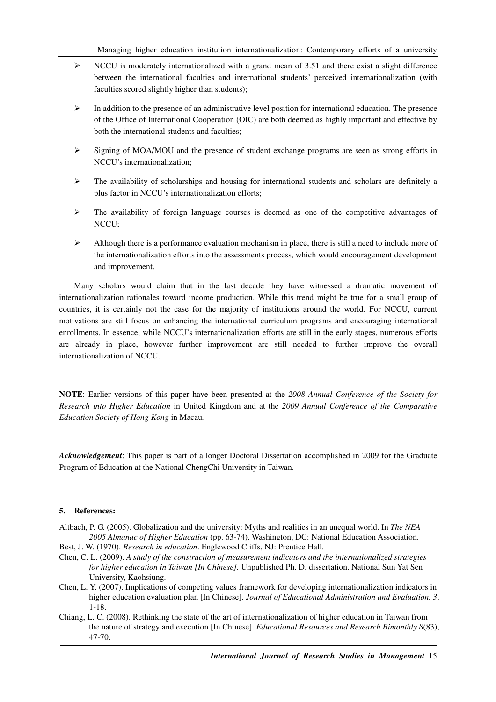- $\triangleright$  NCCU is moderately internationalized with a grand mean of 3.51 and there exist a slight difference between the international faculties and international students' perceived internationalization (with faculties scored slightly higher than students);
- In addition to the presence of an administrative level position for international education. The presence of the Office of International Cooperation (OIC) are both deemed as highly important and effective by both the international students and faculties;
- $\triangleright$  Signing of MOA/MOU and the presence of student exchange programs are seen as strong efforts in NCCU's internationalization;
- $\triangleright$  The availability of scholarships and housing for international students and scholars are definitely a plus factor in NCCU's internationalization efforts;
- $\triangleright$  The availability of foreign language courses is deemed as one of the competitive advantages of NCCU;
- $\triangleright$  Although there is a performance evaluation mechanism in place, there is still a need to include more of the internationalization efforts into the assessments process, which would encouragement development and improvement.

Many scholars would claim that in the last decade they have witnessed a dramatic movement of internationalization rationales toward income production. While this trend might be true for a small group of countries, it is certainly not the case for the majority of institutions around the world. For NCCU, current motivations are still focus on enhancing the international curriculum programs and encouraging international enrollments. In essence, while NCCU's internationalization efforts are still in the early stages, numerous efforts are already in place, however further improvement are still needed to further improve the overall internationalization of NCCU.

**NOTE**: Earlier versions of this paper have been presented at the *2008 Annual Conference of the Society for Research into Higher Education* in United Kingdom and at the *2009 Annual Conference of the Comparative Education Society of Hong Kong* in Macau*.*

*Acknowledgement*: This paper is part of a longer Doctoral Dissertation accomplished in 2009 for the Graduate Program of Education at the National ChengChi University in Taiwan.

# **5. References:**

- Altbach, P. G. (2005). Globalization and the university: Myths and realities in an unequal world. In *The NEA 2005 Almanac of Higher Education* (pp. 63-74). Washington, DC: National Education Association.
- Best, J. W. (1970). *Research in education*. Englewood Cliffs, NJ: Prentice Hall.
- Chen, C. L. (2009). *A study of the construction of measurement indicators and the internationalized strategies for higher education in Taiwan [In Chinese].* Unpublished Ph. D. dissertation, National Sun Yat Sen University, Kaohsiung.
- Chen, L. Y. (2007). Implications of competing values framework for developing internationalization indicators in higher education evaluation plan [In Chinese]. *Journal of Educational Administration and Evaluation*, 3, 1-18.
- Chiang, L. C. (2008). Rethinking the state of the art of internationalization of higher education in Taiwan from the nature of strategy and execution [In Chinese]. *Educational Resources and Research Bimonthly 8*(83), 47-70.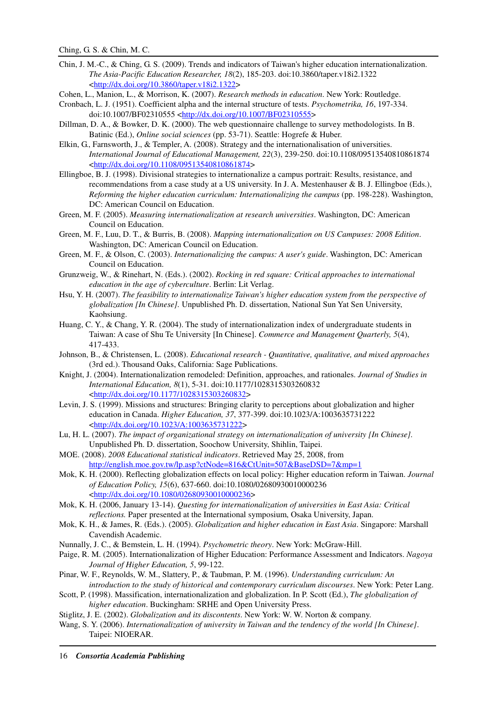- Chin, J. M.-C., & Ching, G. S. (2009). Trends and indicators of Taiwan's higher education internationalization. *The Asia-Pacific Education Researcher, 18*(2), 185-203. doi:10.3860/taper.v18i2.1322 <http://dx.doi.org/10.3860/taper.v18i2.1322>
- Cohen, L., Manion, L., & Morrison, K. (2007). *Research methods in education*. New York: Routledge.
- Cronbach, L. J. (1951). Coefficient alpha and the internal structure of tests. *Psychometrika, 16*, 197-334. doi:10.1007/BF02310555 <http://dx.doi.org/10.1007/BF02310555>
- Dillman, D. A., & Bowker, D. K. (2000). The web questionnaire challenge to survey methodologists. In B. Batinic (Ed.), *Online social sciences* (pp. 53-71). Seattle: Hogrefe & Huber.
- Elkin, G., Farnsworth, J., & Templer, A. (2008). Strategy and the internationalisation of universities. *International Journal of Educational Management, 22*(3), 239-250. doi:10.1108/09513540810861874 <http://dx.doi.org/10.1108/09513540810861874>
- Ellingboe, B. J. (1998). Divisional strategies to internationalize a campus portrait: Results, resistance, and recommendations from a case study at a US university. In J. A. Mestenhauser & B. J. Ellingboe (Eds.), *Reforming the higher education curriculum: Internationalizing the campus* (pp. 198-228). Washington, DC: American Council on Education.
- Green, M. F. (2005). *Measuring internationalization at research universities*. Washington, DC: American Council on Education.
- Green, M. F., Luu, D. T., & Burris, B. (2008). *Mapping internationalization on US Campuses: 2008 Edition*. Washington, DC: American Council on Education.
- Green, M. F., & Olson, C. (2003). *Internationalizing the campus: A user's guide*. Washington, DC: American Council on Education.
- Grunzweig, W., & Rinehart, N. (Eds.). (2002). *Rocking in red square: Critical approaches to international education in the age of cyberculture*. Berlin: Lit Verlag.
- Hsu, Y. H. (2007). *The feasibility to internationalize Taiwan's higher education system from the perspective of globalization [In Chinese].* Unpublished Ph. D. dissertation, National Sun Yat Sen University, Kaohsiung.
- Huang, C. Y., & Chang, Y. R. (2004). The study of internationalization index of undergraduate students in Taiwan: A case of Shu Te University [In Chinese]. *Commerce and Management Quarterly, 5*(4), 417-433.
- Johnson, B., & Christensen, L. (2008). *Educational research Quantitative, qualitative, and mixed approaches* (3rd ed.). Thousand Oaks, California: Sage Publications.
- Knight, J. (2004). Internationalization remodeled: Definition, approaches, and rationales. *Journal of Studies in International Education, 8*(1), 5-31. doi:10.1177/1028315303260832 <http://dx.doi.org/10.1177/1028315303260832>
- Levin, J. S. (1999). Missions and structures: Bringing clarity to perceptions about globalization and higher education in Canada. *Higher Education, 37*, 377-399. doi:10.1023/A:1003635731222 <http://dx.doi.org/10.1023/A:1003635731222>
- Lu, H. L. (2007). *The impact of organizational strategy on internationalization of university [In Chinese].* Unpublished Ph. D. dissertation, Soochow University, Shihlin, Taipei.
- MOE. (2008). *2008 Educational statistical indicators*. Retrieved May 25, 2008, from http://english.moe.gov.tw/lp.asp?ctNode=816&CtUnit=507&BaseDSD=7&mp=1
- Mok, K. H. (2000). Reflecting globalization effects on local policy: Higher education reform in Taiwan. *Journal of Education Policy, 15*(6), 637-660. doi:10.1080/02680930010000236 <http://dx.doi.org/10.1080/02680930010000236>
- Mok, K. H. (2006, January 13-14). *Questing for internationalization of universities in East Asia: Critical reflections.* Paper presented at the International symposium, Osaka University, Japan.
- Mok, K. H., & James, R. (Eds.). (2005). *Globalization and higher education in East Asia*. Singapore: Marshall Cavendish Academic.
- Nunnally, J. C., & Bemstein, L. H. (1994). *Psychometric theory*. New York: McGraw-Hill.
- Paige, R. M. (2005). Internationalization of Higher Education: Performance Assessment and Indicators. *Nagoya Journal of Higher Education, 5*, 99-122.
- Pinar, W. F., Reynolds, W. M., Slattery, P., & Taubman, P. M. (1996). *Understanding curriculum: An introduction to the study of historical and contemporary curriculum discourses*. New York: Peter Lang.
- Scott, P. (1998). Massification, internationalization and globalization. In P. Scott (Ed.), *The globalization of higher education*. Buckingham: SRHE and Open University Press.
- Stiglitz, J. E. (2002). *Globalization and its discontents*. New York: W. W. Norton & company.
- Wang, S. Y. (2006). *Internationalization of university in Taiwan and the tendency of the world [In Chinese]*. Taipei: NIOERAR.

16 *Consortia Academia Publishing*